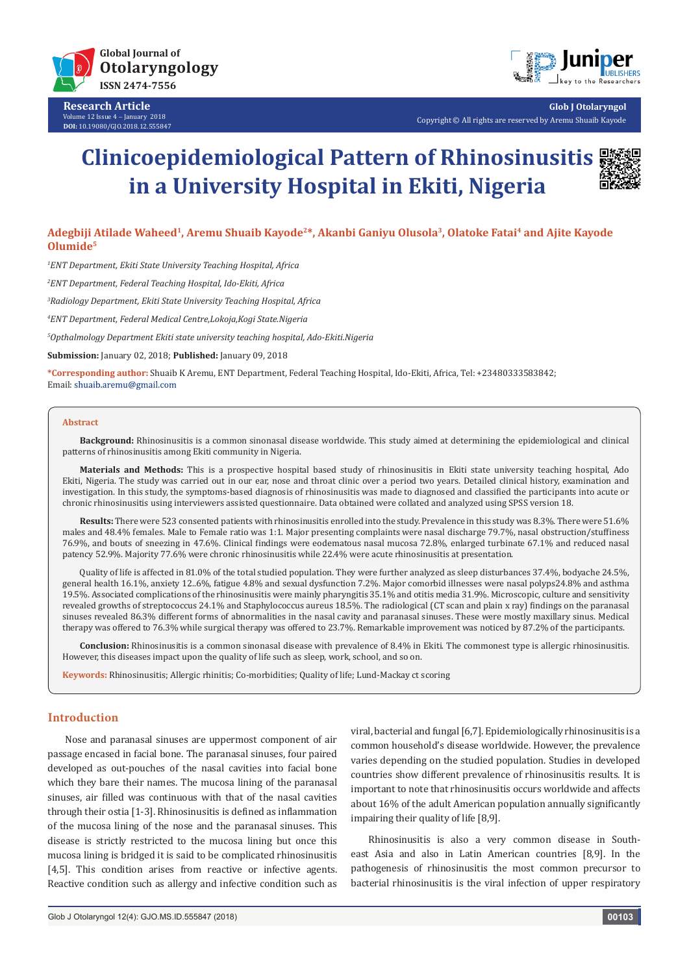

**Research Article** Volume 12 Issue 4 - January 2018 **DOI:** [10.19080/GJO.2018.12.555847](http://dx.doi.org/10.19080/GJO.2018.12.555847)



**Glob J Otolaryngol** Copyright © All rights are reserved by Aremu Shuaib Kayode

# **Clinicoepidemiological Pattern of Rhinosinusitis in a University Hospital in Ekiti, Nigeria**



## **Adegbiji Atilade Waheed1, Aremu Shuaib Kayode2\*, Akanbi Ganiyu Olusola3, Olatoke Fatai4 and Ajite Kayode Olumide5**

*1 ENT Department, Ekiti State University Teaching Hospital, Africa*

*2 ENT Department, Federal Teaching Hospital, Ido-Ekiti, Africa*

*3 Radiology Department, Ekiti State University Teaching Hospital, Africa*

*4 ENT Department, Federal Medical Centre,Lokoja,Kogi State.Nigeria*

*5 Opthalmology Department Ekiti state university teaching hospital, Ado-Ekiti.Nigeria*

**Submission:** January 02, 2018; **Published:** January 09, 2018

**\*Corresponding author:** Shuaib K Aremu, ENT Department, Federal Teaching Hospital, Ido-Ekiti, Africa, Tel: +23480333583842; Email: shuaib.aremu@gmail.com

#### **Abstract**

**Background:** Rhinosinusitis is a common sinonasal disease worldwide. This study aimed at determining the epidemiological and clinical patterns of rhinosinusitis among Ekiti community in Nigeria.

**Materials and Methods:** This is a prospective hospital based study of rhinosinusitis in Ekiti state university teaching hospital, Ado Ekiti, Nigeria. The study was carried out in our ear, nose and throat clinic over a period two years. Detailed clinical history, examination and investigation. In this study, the symptoms-based diagnosis of rhinosinusitis was made to diagnosed and classified the participants into acute or chronic rhinosinusitis using interviewers assisted questionnaire. Data obtained were collated and analyzed using SPSS version 18.

**Results:** There were 523 consented patients with rhinosinusitis enrolled into the study. Prevalence in this study was 8.3%. There were 51.6% males and 48.4% females. Male to Female ratio was 1:1. Major presenting complaints were nasal discharge 79.7%, nasal obstruction/stuffiness 76.9%, and bouts of sneezing in 47.6%. Clinical findings were eodematous nasal mucosa 72.8%, enlarged turbinate 67.1% and reduced nasal patency 52.9%. Majority 77.6% were chronic rhinosinusitis while 22.4% were acute rhinosinusitis at presentation.

Quality of life is affected in 81.0% of the total studied population. They were further analyzed as sleep disturbances 37.4%, bodyache 24.5%, general health 16.1%, anxiety 12..6%, fatigue 4.8% and sexual dysfunction 7.2%. Major comorbid illnesses were nasal polyps24.8% and asthma 19.5%. Associated complications of the rhinosinusitis were mainly pharyngitis 35.1% and otitis media 31.9%. Microscopic, culture and sensitivity revealed growths of streptococcus 24.1% and Staphylococcus aureus 18.5%. The radiological (CT scan and plain x ray) findings on the paranasal sinuses revealed 86.3% different forms of abnormalities in the nasal cavity and paranasal sinuses. These were mostly maxillary sinus. Medical therapy was offered to 76.3% while surgical therapy was offered to 23.7%. Remarkable improvement was noticed by 87.2% of the participants.

**Conclusion:** Rhinosinusitis is a common sinonasal disease with prevalence of 8.4% in Ekiti. The commonest type is allergic rhinosinusitis. However, this diseases impact upon the quality of life such as sleep, work, school, and so on.

**Keywords:** Rhinosinusitis; Allergic rhinitis; Co-morbidities; Quality of life; Lund-Mackay ct scoring

#### **Introduction**

Nose and paranasal sinuses are uppermost component of air passage encased in facial bone. The paranasal sinuses, four paired developed as out-pouches of the nasal cavities into facial bone which they bare their names. The mucosa lining of the paranasal sinuses, air filled was continuous with that of the nasal cavities through their ostia [1-3]. Rhinosinusitis is defined as inflammation of the mucosa lining of the nose and the paranasal sinuses. This disease is strictly restricted to the mucosa lining but once this mucosa lining is bridged it is said to be complicated rhinosinusitis [4,5]. This condition arises from reactive or infective agents. Reactive condition such as allergy and infective condition such as

viral, bacterial and fungal [6,7]. Epidemiologically rhinosinusitis is a common household's disease worldwide. However, the prevalence varies depending on the studied population. Studies in developed countries show different prevalence of rhinosinusitis results. It is important to note that rhinosinusitis occurs worldwide and affects about 16% of the adult American population annually significantly impairing their quality of life [8,9].

Rhinosinusitis is also a very common disease in Southeast Asia and also in Latin American countries [8,9]. In the pathogenesis of rhinosinusitis the most common precursor to bacterial rhinosinusitis is the viral infection of upper respiratory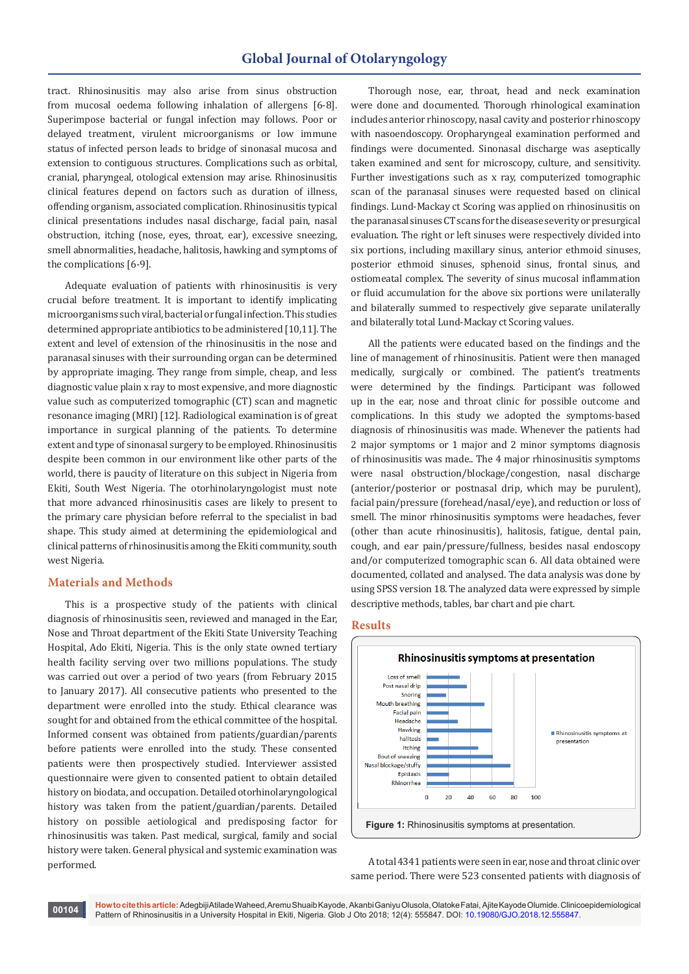### **Global Journal of Otolaryngology**

tract. Rhinosinusitis may also arise from sinus obstruction from mucosal oedema following inhalation of allergens [6-8]. Superimpose bacterial or fungal infection may follows. Poor or delayed treatment, virulent microorganisms or low immune status of infected person leads to bridge of sinonasal mucosa and extension to contiguous structures. Complications such as orbital, cranial, pharyngeal, otological extension may arise. Rhinosinusitis clinical features depend on factors such as duration of illness, offending organism, associated complication. Rhinosinusitis typical clinical presentations includes nasal discharge, facial pain, nasal obstruction, itching (nose, eyes, throat, ear), excessive sneezing, smell abnormalities, headache, halitosis, hawking and symptoms of the complications [6-9].

Adequate evaluation of patients with rhinosinusitis is very crucial before treatment. It is important to identify implicating microorganisms such viral, bacterial or fungal infection. This studies determined appropriate antibiotics to be administered [10,11]. The extent and level of extension of the rhinosinusitis in the nose and paranasal sinuses with their surrounding organ can be determined by appropriate imaging. They range from simple, cheap, and less diagnostic value plain x ray to most expensive, and more diagnostic value such as computerized tomographic (CT) scan and magnetic resonance imaging (MRI) [12]. Radiological examination is of great importance in surgical planning of the patients. To determine extent and type of sinonasal surgery to be employed. Rhinosinusitis despite been common in our environment like other parts of the world, there is paucity of literature on this subject in Nigeria from Ekiti, South West Nigeria. The otorhinolaryngologist must note that more advanced rhinosinusitis cases are likely to present to the primary care physician before referral to the specialist in bad shape. This study aimed at determining the epidemiological and clinical patterns of rhinosinusitis among the Ekiti community, south west Nigeria.

#### **Materials and Methods**

This is a prospective study of the patients with clinical diagnosis of rhinosinusitis seen, reviewed and managed in the Ear, Nose and Throat department of the Ekiti State University Teaching Hospital, Ado Ekiti, Nigeria. This is the only state owned tertiary health facility serving over two millions populations. The study was carried out over a period of two years (from February 2015 to January 2017). All consecutive patients who presented to the department were enrolled into the study. Ethical clearance was sought for and obtained from the ethical committee of the hospital. Informed consent was obtained from patients/guardian/parents before patients were enrolled into the study. These consented patients were then prospectively studied. Interviewer assisted questionnaire were given to consented patient to obtain detailed history on biodata, and occupation. Detailed otorhinolaryngological history was taken from the patient/guardian/parents. Detailed history on possible aetiological and predisposing factor for rhinosinusitis was taken. Past medical, surgical, family and social history were taken. General physical and systemic examination was performed.

Thorough nose, ear, throat, head and neck examination were done and documented. Thorough rhinological examination includes anterior rhinoscopy, nasal cavity and posterior rhinoscopy with nasoendoscopy. Oropharyngeal examination performed and findings were documented. Sinonasal discharge was aseptically taken examined and sent for microscopy, culture, and sensitivity. Further investigations such as x ray, computerized tomographic scan of the paranasal sinuses were requested based on clinical findings. Lund-Mackay ct Scoring was applied on rhinosinusitis on the paranasal sinuses CT scans for the disease severity or presurgical evaluation. The right or left sinuses were respectively divided into six portions, including maxillary sinus, anterior ethmoid sinuses, posterior ethmoid sinuses, sphenoid sinus, frontal sinus, and ostiomeatal complex. The severity of sinus mucosal inflammation or fluid accumulation for the above six portions were unilaterally and bilaterally summed to respectively give separate unilaterally and bilaterally total Lund-Mackay ct Scoring values.

All the patients were educated based on the findings and the line of management of rhinosinusitis. Patient were then managed medically, surgically or combined. The patient's treatments were determined by the findings. Participant was followed up in the ear, nose and throat clinic for possible outcome and complications. In this study we adopted the symptoms-based diagnosis of rhinosinusitis was made. Whenever the patients had 2 major symptoms or 1 major and 2 minor symptoms diagnosis of rhinosinusitis was made.. The 4 major rhinosinusitis symptoms were nasal obstruction/blockage/congestion, nasal discharge (anterior/posterior or postnasal drip, which may be purulent), facial pain/pressure (forehead/nasal/eye), and reduction or loss of smell. The minor rhinosinusitis symptoms were headaches, fever (other than acute rhinosinusitis), halitosis, fatigue, dental pain, cough, and ear pain/pressure/fullness, besides nasal endoscopy and/or computerized tomographic scan 6. All data obtained were documented, collated and analysed. The data analysis was done by using SPSS version 18. The analyzed data were expressed by simple descriptive methods, tables, bar chart and pie chart.

#### **Results**



A total 4341 patients were seen in ear, nose and throat clinic over same period. There were 523 consented patients with diagnosis of

**How to cite this article:** Adegbiji Atilade Waheed, Aremu Shuaib Kayode, Akanbi Ganiyu Olusola, Olatoke Fatai, Ajite Kayode Olumide. Clinicoepidemiological Pattern of Rhinosinusitis in a University Hospital in Ekiti, Nigeria. Glob J Oto 2018; 12(4): 555847. DOI: [10.19080/GJO.2018.12.555847](http://dx.doi.org/10.19080/GJO.2018.12.555847). **<sup>00104</sup>**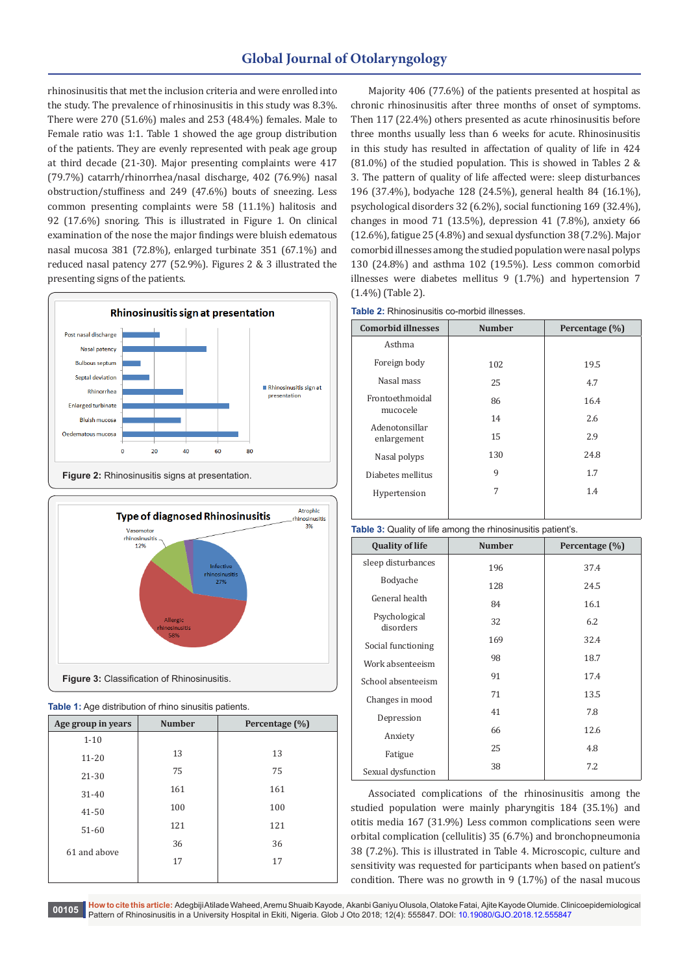## **Global Journal of Otolaryngology**

rhinosinusitis that met the inclusion criteria and were enrolled into the study. The prevalence of rhinosinusitis in this study was 8.3%. There were 270 (51.6%) males and 253 (48.4%) females. Male to Female ratio was 1:1. Table 1 showed the age group distribution of the patients. They are evenly represented with peak age group at third decade (21-30). Major presenting complaints were 417 (79.7%) catarrh/rhinorrhea/nasal discharge, 402 (76.9%) nasal obstruction/stuffiness and 249 (47.6%) bouts of sneezing. Less common presenting complaints were 58 (11.1%) halitosis and 92 (17.6%) snoring. This is illustrated in Figure 1. On clinical examination of the nose the major findings were bluish edematous nasal mucosa 381 (72.8%), enlarged turbinate 351 (67.1%) and reduced nasal patency 277 (52.9%). Figures 2 & 3 illustrated the presenting signs of the patients.







| Age group in years | <b>Number</b> | Percentage (%) |  |  |
|--------------------|---------------|----------------|--|--|
| $1 - 10$           |               |                |  |  |
| $11 - 20$          | 13            | 13             |  |  |
| 21-30              | 75            | 75<br>161      |  |  |
| $31 - 40$          | 161           |                |  |  |
| $41 - 50$          | 100           | 100            |  |  |
| $51-60$            | 121           | 121            |  |  |
|                    | 36            | 36             |  |  |
| 61 and above       | 17            | 17             |  |  |
|                    |               |                |  |  |

Majority 406 (77.6%) of the patients presented at hospital as chronic rhinosinusitis after three months of onset of symptoms. Then 117 (22.4%) others presented as acute rhinosinusitis before three months usually less than 6 weeks for acute. Rhinosinusitis in this study has resulted in affectation of quality of life in 424 (81.0%) of the studied population. This is showed in Tables 2 & 3. The pattern of quality of life affected were: sleep disturbances 196 (37.4%), bodyache 128 (24.5%), general health 84 (16.1%), psychological disorders 32 (6.2%), social functioning 169 (32.4%), changes in mood 71 (13.5%), depression 41 (7.8%), anxiety 66 (12.6%), fatigue 25 (4.8%) and sexual dysfunction 38 (7.2%). Major comorbid illnesses among the studied population were nasal polyps 130 (24.8%) and asthma 102 (19.5%). Less common comorbid illnesses were diabetes mellitus 9 (1.7%) and hypertension 7 (1.4%) (Table 2).

|  | <b>Table 2:</b> Rhinosinusitis co-morbid illnesses. |  |  |
|--|-----------------------------------------------------|--|--|
|--|-----------------------------------------------------|--|--|

| <b>Comorbid illnesses</b>     | <b>Number</b> | Percentage (%) |
|-------------------------------|---------------|----------------|
| Asthma                        |               |                |
| Foreign body                  | 102           | 19.5           |
| Nasal mass                    | 25            | 4.7            |
| Frontoethmoidal<br>mucocele   | 86            | 16.4           |
|                               | 14            | 2.6            |
| Adenotonsillar<br>enlargement | 15            | 2.9            |
| Nasal polyps                  | 130           | 24.8           |
| Diabetes mellitus             | 9             | 1.7            |
| Hypertension                  | 7             | 1.4            |
|                               |               |                |

|  |  | <b>Table 3:</b> Quality of life among the rhinosinusitis patient's. |  |
|--|--|---------------------------------------------------------------------|--|
|  |  |                                                                     |  |

| <b>Quality of life</b>     | <b>Number</b> | Percentage (%) |
|----------------------------|---------------|----------------|
| sleep disturbances         | 196           | 37.4           |
| Bodyache                   | 128           | 24.5           |
| General health             | 84            | 16.1           |
| Psychological<br>disorders | 32            | 6.2            |
| Social functioning         | 169           | 32.4           |
| Work absenteeism           | 98            | 18.7           |
| School absenteeism         | 91            | 17.4           |
| Changes in mood            | 71            | 13.5           |
| Depression                 | 41            | 7.8            |
| Anxiety                    | 66            | 12.6           |
| Fatigue                    | 25            | 4.8            |
| Sexual dysfunction         | 38            | 7.2            |

Associated complications of the rhinosinusitis among the studied population were mainly pharyngitis 184 (35.1%) and otitis media 167 (31.9%) Less common complications seen were orbital complication (cellulitis) 35 (6.7%) and bronchopneumonia 38 (7.2%). This is illustrated in Table 4. Microscopic, culture and sensitivity was requested for participants when based on patient's condition. There was no growth in 9 (1.7%) of the nasal mucous

**How to cite this article:** Adegbiji Atilade Waheed, Aremu Shuaib Kayode, Akanbi Ganiyu Olusola, Olatoke Fatai, Ajite Kayode Olumide. Clinicoepidemiological Pattern of Rhinosinusitis in a University Hospital in Ekiti, Nigeria. Glob J Oto 2018; 12(4): 555847. DOI: [10.19080/GJO.2018.12.555847](http://dx.doi.org/10.19080/GJO.2018.12.555847) **<sup>00105</sup>**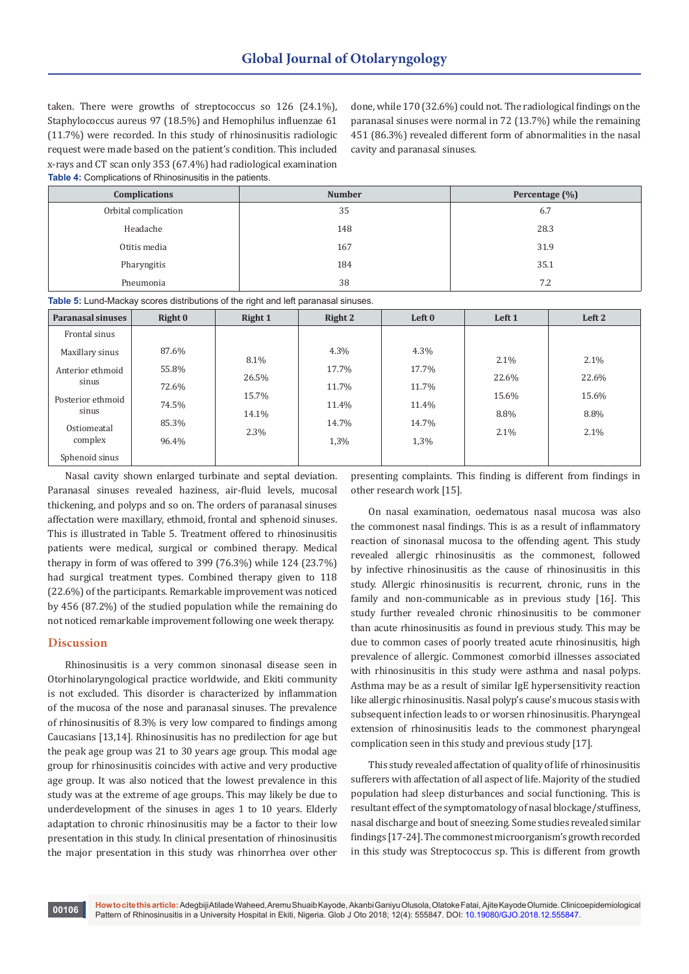taken. There were growths of streptococcus so 126 (24.1%), Staphylococcus aureus 97 (18.5%) and Hemophilus influenzae 61 (11.7%) were recorded. In this study of rhinosinusitis radiologic request were made based on the patient's condition. This included x-rays and CT scan only 353 (67.4%) had radiological examination **Table 4:** Complications of Rhinosinusitis in the patients.

done, while 170 (32.6%) could not. The radiological findings on the paranasal sinuses were normal in 72 (13.7%) while the remaining 451 (86.3%) revealed different form of abnormalities in the nasal cavity and paranasal sinuses.

| <b>Complications</b> | <b>Number</b> | Percentage (%) |  |
|----------------------|---------------|----------------|--|
| Orbital complication | 35            | 6.7            |  |
| Headache             | 148           | 28.3           |  |
| Otitis media         | 167           | 31.9           |  |
| Pharyngitis          | 184           | 35.1           |  |
| Pneumonia            | 38            | 7.2            |  |

**Table 5:** Lund-Mackay scores distributions of the right and left paranasal sinuses.

| <b>Paranasal sinuses</b>   | Right 0 | Right 1 | Right 2 | Left 0 | Left 1 | Left 2  |
|----------------------------|---------|---------|---------|--------|--------|---------|
| Frontal sinus              |         |         |         |        |        |         |
| Maxillary sinus            | 87.6%   | 8.1%    | $4.3\%$ | 4.3%   | 2.1%   | 2.1%    |
| Anterior ethmoid           | 55.8%   | 26.5%   | 17.7%   | 17.7%  | 22.6%  | 22.6%   |
| sinus                      | 72.6%   | 15.7%   | 11.7%   | 11.7%  | 15.6%  | 15.6%   |
| Posterior ethmoid<br>sinus | 74.5%   | 14.1%   | 11.4%   | 11.4%  | 8.8%   | 8.8%    |
| Ostiomeatal                | 85.3%   | 2.3%    | 14.7%   | 14.7%  | 2.1%   | $2.1\%$ |
| complex                    | 96.4%   |         | 1,3%    | 1,3%   |        |         |
| Sphenoid sinus             |         |         |         |        |        |         |

Nasal cavity shown enlarged turbinate and septal deviation. Paranasal sinuses revealed haziness, air-fluid levels, mucosal thickening, and polyps and so on. The orders of paranasal sinuses affectation were maxillary, ethmoid, frontal and sphenoid sinuses. This is illustrated in Table 5. Treatment offered to rhinosinusitis patients were medical, surgical or combined therapy. Medical therapy in form of was offered to 399 (76.3%) while 124 (23.7%) had surgical treatment types. Combined therapy given to 118 (22.6%) of the participants. Remarkable improvement was noticed by 456 (87.2%) of the studied population while the remaining do not noticed remarkable improvement following one week therapy.

#### **Discussion**

Rhinosinusitis is a very common sinonasal disease seen in Otorhinolaryngological practice worldwide, and Ekiti community is not excluded. This disorder is characterized by inflammation of the mucosa of the nose and paranasal sinuses. The prevalence of rhinosinusitis of 8.3% is very low compared to findings among Caucasians [13,14]. Rhinosinusitis has no predilection for age but the peak age group was 21 to 30 years age group. This modal age group for rhinosinusitis coincides with active and very productive age group. It was also noticed that the lowest prevalence in this study was at the extreme of age groups. This may likely be due to underdevelopment of the sinuses in ages 1 to 10 years. Elderly adaptation to chronic rhinosinusitis may be a factor to their low presentation in this study. In clinical presentation of rhinosinusitis the major presentation in this study was rhinorrhea over other

presenting complaints. This finding is different from findings in other research work [15].

On nasal examination, oedematous nasal mucosa was also the commonest nasal findings. This is as a result of inflammatory reaction of sinonasal mucosa to the offending agent. This study revealed allergic rhinosinusitis as the commonest, followed by infective rhinosinusitis as the cause of rhinosinusitis in this study. Allergic rhinosinusitis is recurrent, chronic, runs in the family and non-communicable as in previous study [16]. This study further revealed chronic rhinosinusitis to be commoner than acute rhinosinusitis as found in previous study. This may be due to common cases of poorly treated acute rhinosinusitis, high prevalence of allergic. Commonest comorbid illnesses associated with rhinosinusitis in this study were asthma and nasal polyps. Asthma may be as a result of similar IgE hypersensitivity reaction like allergic rhinosinusitis. Nasal polyp's cause's mucous stasis with subsequent infection leads to or worsen rhinosinusitis. Pharyngeal extension of rhinosinusitis leads to the commonest pharyngeal complication seen in this study and previous study [17].

This study revealed affectation of quality of life of rhinosinusitis sufferers with affectation of all aspect of life. Majority of the studied population had sleep disturbances and social functioning. This is resultant effect of the symptomatology of nasal blockage/stuffiness, nasal discharge and bout of sneezing. Some studies revealed similar findings [17-24]. The commonest microorganism's growth recorded in this study was Streptococcus sp. This is different from growth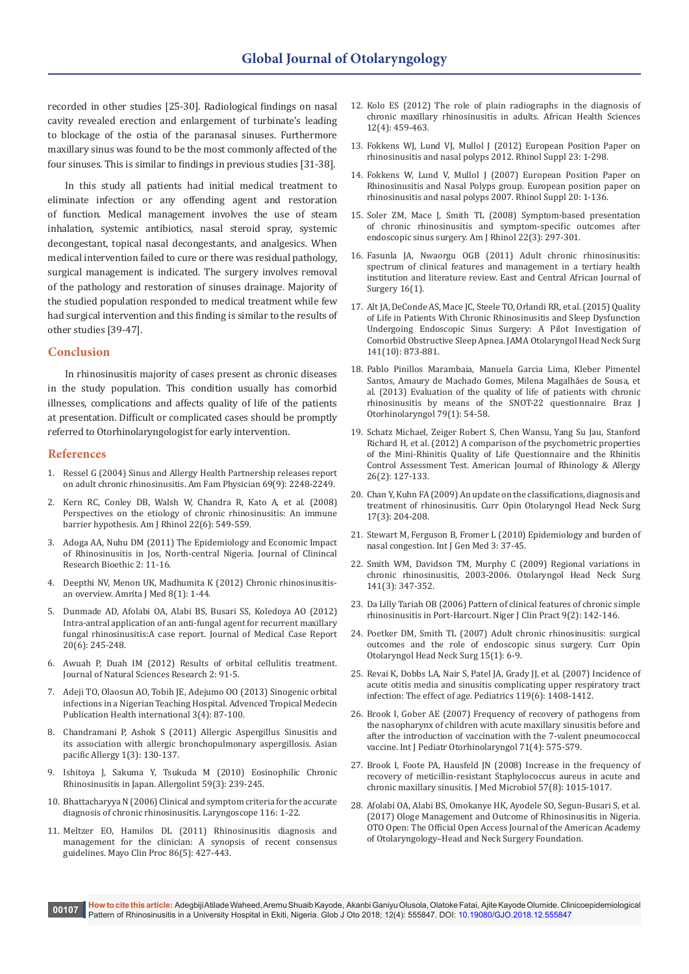recorded in other studies [25-30]. Radiological findings on nasal cavity revealed erection and enlargement of turbinate's leading to blockage of the ostia of the paranasal sinuses. Furthermore maxillary sinus was found to be the most commonly affected of the four sinuses. This is similar to findings in previous studies [31-38].

In this study all patients had initial medical treatment to eliminate infection or any offending agent and restoration of function. Medical management involves the use of steam inhalation, systemic antibiotics, nasal steroid spray, systemic decongestant, topical nasal decongestants, and analgesics. When medical intervention failed to cure or there was residual pathology, surgical management is indicated. The surgery involves removal of the pathology and restoration of sinuses drainage. Majority of the studied population responded to medical treatment while few had surgical intervention and this finding is similar to the results of other studies [39-47].

#### **Conclusion**

In rhinosinusitis majority of cases present as chronic diseases in the study population. This condition usually has comorbid illnesses, complications and affects quality of life of the patients at presentation. Difficult or complicated cases should be promptly referred to Otorhinolaryngologist for early intervention.

#### **References**

- 1. [Ressel G \(2004\) Sinus and Allergy Health Partnership releases report](https://www.aafp.org/afp/2004/0501/p2248.html)  [on adult chronic rhinosinusitis. Am Fam Physician 69\(9\): 2248-2249.](https://www.aafp.org/afp/2004/0501/p2248.html)
- 2. [Kern RC, Conley DB, Walsh W, Chandra R, Kato A, et al. \(2008\)](https://www.ncbi.nlm.nih.gov/pmc/articles/PMC2802263/)  [Perspectives on the etiology of chronic rhinosinusitis: An immune](https://www.ncbi.nlm.nih.gov/pmc/articles/PMC2802263/)  [barrier hypothesis. Am J Rhinol 22\(6\): 549-559.](https://www.ncbi.nlm.nih.gov/pmc/articles/PMC2802263/)
- 3. [Adoga AA, Nuhu DM \(2011\) The Epidemiology and Economic Impact](https://www.omicsonline.org/the-epidemiology-and-economic-impact-of-rhinosinusitis-in-jos-north-central-nigeria-2155-9627.1000116.php?aid=1890)  [of Rhinosinusitis in Jos, North-central Nigeria. Journal of Clinincal](https://www.omicsonline.org/the-epidemiology-and-economic-impact-of-rhinosinusitis-in-jos-north-central-nigeria-2155-9627.1000116.php?aid=1890)  [Research Bioethic 2: 11-16.](https://www.omicsonline.org/the-epidemiology-and-economic-impact-of-rhinosinusitis-in-jos-north-central-nigeria-2155-9627.1000116.php?aid=1890)
- 4. Deepthi NV, Menon UK, Madhumita K (2012) Chronic rhinosinusitisan overview. Amrita J Med 8(1): 1-44.
- 5. [Dunmade AD, Afolabi OA, Alabi BS, Busari SS, Koledoya AO \(2012\)](https://www.ncbi.nlm.nih.gov/pubmed/22905703)  [Intra-antral application of an anti-fungal agent for recurrent maxillary](https://www.ncbi.nlm.nih.gov/pubmed/22905703)  [fungal rhinosinusitis:A case report. Journal of Medical Case Report](https://www.ncbi.nlm.nih.gov/pubmed/22905703)  [20\(6\): 245-248.](https://www.ncbi.nlm.nih.gov/pubmed/22905703)
- 6. [Awuah P, Duah IM \(2012\) Results of orbital cellulitis treatment.](https://www.researchgate.net/publication/266348604_Results_of_orbital_cellulitis_treatment)  [Journal of Natural Sciences Research 2: 91-5.](https://www.researchgate.net/publication/266348604_Results_of_orbital_cellulitis_treatment)
- 7. [Adeji TO, Olaosun AO, Tobih JE, Adejumo OO \(2013\) Sinogenic orbital](https://www.researchgate.net/publication/279962834_sinogenic_orbital_infections)  [infections in a Nigerian Teaching Hospital. Advenced Tropical Medecin](https://www.researchgate.net/publication/279962834_sinogenic_orbital_infections)  [Publication Health international 3\(4\): 87-100.](https://www.researchgate.net/publication/279962834_sinogenic_orbital_infections)
- 8. [Chandramani P, Ashok S \(2011\) Allergic Aspergillus Sinusitis and](https://www.ncbi.nlm.nih.gov/pmc/articles/PMC3206248/)  [its association with allergic bronchopulmonary aspergillosis. Asian](https://www.ncbi.nlm.nih.gov/pmc/articles/PMC3206248/)  [pacific Allergy 1\(3\): 130-137.](https://www.ncbi.nlm.nih.gov/pmc/articles/PMC3206248/)
- 9. [Ishitoya J, Sakuma Y, Tsukuda M \(2010\) Eosinophilic Chronic](https://www.ncbi.nlm.nih.gov/pubmed/20657162)  [Rhinosinusitis in Japan. Allergolint 59\(3\): 239-245.](https://www.ncbi.nlm.nih.gov/pubmed/20657162)
- 10. [Bhattacharyya N \(2006\) Clinical and symptom criteria for the accurate](https://www.ncbi.nlm.nih.gov/pubmed/16826087/)  [diagnosis of chronic rhinosinusitis. Laryngoscope 116: 1-22](https://www.ncbi.nlm.nih.gov/pubmed/16826087/).
- 11. [Meltzer EO, Hamilos DL \(2011\) Rhinosinusitis diagnosis and](https://www.ncbi.nlm.nih.gov/pmc/articles/PMC3084646/)  [management for the clinician: A synopsis of recent consensus](https://www.ncbi.nlm.nih.gov/pmc/articles/PMC3084646/)  [guidelines. Mayo Clin Proc 86\(5\): 427-443.](https://www.ncbi.nlm.nih.gov/pmc/articles/PMC3084646/)
- 12. [Kolo ES \(2012\) The role of plain radiographs in the diagnosis of](https://www.ncbi.nlm.nih.gov/pmc/articles/PMC3598286/)  [chronic maxillary rhinosinusitis in adults. African Health Sciences](https://www.ncbi.nlm.nih.gov/pmc/articles/PMC3598286/)  [12\(4\): 459-463.](https://www.ncbi.nlm.nih.gov/pmc/articles/PMC3598286/)
- 13. [Fokkens WJ, Lund VJ, Mullol J \(2012\) European Position Paper on](https://uncch.pure.elsevier.com/en/publications/european-position-paper-on-rhinosinusitis-and-nasal-polyps-2012)  [rhinosinusitis and nasal polyps 2012. Rhinol Suppl 23: 1-298.](https://uncch.pure.elsevier.com/en/publications/european-position-paper-on-rhinosinusitis-and-nasal-polyps-2012)
- 14. [Fokkens W, Lund V, Mullol J \(2007\) European Position Paper on](https://www.ncbi.nlm.nih.gov/pubmed/17844873)  [Rhinosinusitis and Nasal Polyps group. European position paper on](https://www.ncbi.nlm.nih.gov/pubmed/17844873)  [rhinosinusitis and nasal polyps 2007. Rhinol Suppl 20: 1-136.](https://www.ncbi.nlm.nih.gov/pubmed/17844873)
- 15. [Soler ZM, Mace J, Smith TL \(2008\) Symptom-based presentation](https://www.ncbi.nlm.nih.gov/pubmed/18588763)  [of chronic rhinosinusitis and symptom-specific outcomes after](https://www.ncbi.nlm.nih.gov/pubmed/18588763)  [endoscopic sinus surgery. Am J Rhinol 22\(3\): 297-301.](https://www.ncbi.nlm.nih.gov/pubmed/18588763)
- 16. [Fasunla JA, Nwaorgu OGB \(2011\) Adult chronic rhinosinusitis:](https://www.ajol.info/index.php/ecajs/article/view/72478)  [spectrum of clinical features and management in a tertiary health](https://www.ajol.info/index.php/ecajs/article/view/72478)  [institution and literature review. East and Central African Journal of](https://www.ajol.info/index.php/ecajs/article/view/72478)  [Surgery 16\(1\).](https://www.ajol.info/index.php/ecajs/article/view/72478)
- 17. [Alt JA, DeConde AS, Mace JC, Steele TO, Orlandi RR, et al. \(2015\) Quality](https://www.ncbi.nlm.nih.gov/pubmed/26356240)  [of Life in Patients With Chronic Rhinosinusitis and Sleep Dysfunction](https://www.ncbi.nlm.nih.gov/pubmed/26356240)  [Undergoing Endoscopic Sinus Surgery: A Pilot Investigation of](https://www.ncbi.nlm.nih.gov/pubmed/26356240)  [Comorbid Obstructive Sleep Apnea. JAMA Otolaryngol Head Neck Surg](https://www.ncbi.nlm.nih.gov/pubmed/26356240)  [141\(10\): 873-881.](https://www.ncbi.nlm.nih.gov/pubmed/26356240)
- 18. [Pablo Pinillos Marambaia, Manuela Garcia Lima, Kleber Pimentel](https://www.ncbi.nlm.nih.gov/pubmed/23503908)  [Santos, Amaury de Machado Gomes, Milena Magalhães de Sousa, et](https://www.ncbi.nlm.nih.gov/pubmed/23503908)  [al. \(2013\) Evaluation of the quality of life of patients with chronic](https://www.ncbi.nlm.nih.gov/pubmed/23503908)  [rhinosinusitis by means of the SNOT-22 questionnaire. Braz J](https://www.ncbi.nlm.nih.gov/pubmed/23503908)  [Otorhinolaryngol 79\(1\): 54-58.](https://www.ncbi.nlm.nih.gov/pubmed/23503908)
- 19. [Schatz Michael, Zeiger Robert S, Chen Wansu, Yang Su Jau, Stanford](https://www.ncbi.nlm.nih.gov/pubmed/22487290)  [Richard H, et al. \(2012\) A comparison of the psychometric properties](https://www.ncbi.nlm.nih.gov/pubmed/22487290)  [of the Mini-Rhinitis Quality of Life Questionnaire and the Rhinitis](https://www.ncbi.nlm.nih.gov/pubmed/22487290)  [Control Assessment Test. American Journal of Rhinology & Allergy](https://www.ncbi.nlm.nih.gov/pubmed/22487290)  [26\(2\): 127-133.](https://www.ncbi.nlm.nih.gov/pubmed/22487290)
- 20. [Chan Y, Kuhn FA \(2009\) An update on the classifications, diagnosis and](https://www.ncbi.nlm.nih.gov/pubmed/19346944)  [treatment of rhinosinusitis. Curr Opin Otolaryngol Head Neck Surg](https://www.ncbi.nlm.nih.gov/pubmed/19346944)  [17\(3\): 204-208.](https://www.ncbi.nlm.nih.gov/pubmed/19346944)
- 21. [Stewart M, Ferguson B, Fromer L \(2010\) Epidemiology and burden of](https://www.ncbi.nlm.nih.gov/pmc/articles/PMC2866547/)  [nasal congestion. Int J Gen Med 3: 37-45.](https://www.ncbi.nlm.nih.gov/pmc/articles/PMC2866547/)
- 22. [Smith WM, Davidson TM, Murphy C \(2009\) Regional variations in](https://www.ncbi.nlm.nih.gov/pubmed/19716012)  [chronic rhinosinusitis, 2003-2006. Otolaryngol Head Neck Surg](https://www.ncbi.nlm.nih.gov/pubmed/19716012)  [141\(3\): 347-352.](https://www.ncbi.nlm.nih.gov/pubmed/19716012)
- 23. [Da Lilly Tariah OB \(2006\) Pattern of clinical features of chronic simple](https://www.ncbi.nlm.nih.gov/pubmed/17319347)  [rhinosinusitis in Port-Harcourt. Niger J Clin Pract 9\(2\): 142-146.](https://www.ncbi.nlm.nih.gov/pubmed/17319347)
- 24. [Poetker DM, Smith TL \(2007\) Adult chronic rhinosinusitis: surgical](https://www.ncbi.nlm.nih.gov/pubmed/17211176)  [outcomes and the role of endoscopic sinus surgery. Curr Opin](https://www.ncbi.nlm.nih.gov/pubmed/17211176)  [Otolaryngol Head Neck Surg 15\(1\): 6-9.](https://www.ncbi.nlm.nih.gov/pubmed/17211176)
- 25. [Revai K, Dobbs LA, Nair S, Patel JA, Grady JJ, et al. \(2007\) Incidence of](https://www.ncbi.nlm.nih.gov/pubmed/17545367)  [acute otitis media and sinusitis complicating upper respiratory tract](https://www.ncbi.nlm.nih.gov/pubmed/17545367)  [infection: The effect of age. Pediatrics 119\(6\): 1408-1412.](https://www.ncbi.nlm.nih.gov/pubmed/17545367)
- 26. [Brook I, Gober AE \(2007\) Frequency of recovery of pathogens from](https://www.ncbi.nlm.nih.gov/pubmed/17267051)  [the nasopharynx of children with acute maxillary sinusitis before and](https://www.ncbi.nlm.nih.gov/pubmed/17267051)  [after the introduction of vaccination with the 7-valent pneumococcal](https://www.ncbi.nlm.nih.gov/pubmed/17267051)  [vaccine. Int J Pediatr Otorhinolaryngol 71\(4\): 575-579.](https://www.ncbi.nlm.nih.gov/pubmed/17267051)
- 27. [Brook I, Foote PA, Hausfeld JN \(2008\) Increase in the frequency of](https://www.ncbi.nlm.nih.gov/pubmed/18628504)  [recovery of meticillin-resistant Staphylococcus aureus in acute and](https://www.ncbi.nlm.nih.gov/pubmed/18628504)  [chronic maxillary sinusitis. J Med Microbiol 57\(8\): 1015-1017.](https://www.ncbi.nlm.nih.gov/pubmed/18628504)
- 28. [Afolabi OA, Alabi BS, Omokanye HK, Ayodele SO, Segun-Busari S, et al.](http://journals.sagepub.com/doi/full/10.1177/2473974X16685545)  [\(2017\) Ologe Management and Outcome of Rhinosinusitis in Nigeria.](http://journals.sagepub.com/doi/full/10.1177/2473974X16685545)  [OTO Open: The Official Open Access Journal of the American Academy](http://journals.sagepub.com/doi/full/10.1177/2473974X16685545)  [of Otolaryngology–Head and Neck Surgery Foundation.](http://journals.sagepub.com/doi/full/10.1177/2473974X16685545)